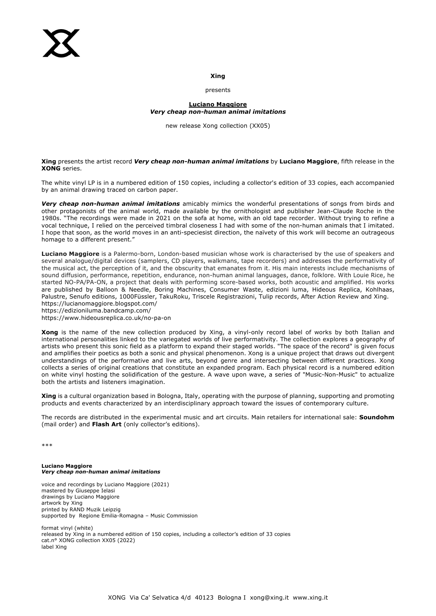## **Xing**

#### presents

# **Luciano Maggiore** *Very cheap non-human animal imitations*

new release Xong collection (XX05)

## **Xing** presents the artist record *Very cheap non-human animal imitations* by **Luciano Maggiore**, fifth release in the **XONG** series.

The white vinyl LP is in a numbered edition of 150 copies, including a collector's edition of 33 copies, each accompanied by an animal drawing traced on carbon paper.

*Very cheap non-human animal imitations* amicably mimics the wonderful presentations of songs from birds and other protagonists of the animal world, made available by the ornithologist and publisher Jean-Claude Roche in the 1980s. "The recordings were made in 2021 on the sofa at home, with an old tape recorder. Without trying to refine a vocal technique, I relied on the perceived timbral closeness I had with some of the non-human animals that I imitated. I hope that soon, as the world moves in an anti-speciesist direction, the naïvety of this work will become an outrageous homage to a different present."

**Luciano Maggiore** is a Palermo-born, London-based musician whose work is characterised by the use of speakers and several analogue/digital devices (samplers, CD players, walkmans, tape recorders) and addresses the performativity of the musical act, the perception of it, and the obscurity that emanates from it. His main interests include mechanisms of sound diffusion, performance, repetition, endurance, non-human animal languages, dance, folklore. With Louie Rice, he started NO-PA/PA-ON, a project that deals with performing score-based works, both acoustic and amplified. His works are published by Balloon & Needle, Boring Machines, Consumer Waste, edizioni luma, Hideous Replica, Kohlhaas, Palustre, Senufo editions, 1000Füssler, TakuRoku, Triscele Registrazioni, Tulip records, After Action Review and Xing. https://lucianomaggiore.blogspot.com/

https://edizioniluma.bandcamp.com/

https://www.hideousreplica.co.uk/no-pa-on

**Xong** is the name of the new collection produced by Xing, a vinyl-only record label of works by both Italian and international personalities linked to the variegated worlds of live performativity. The collection explores a geography of artists who present this sonic field as a platform to expand their staged worlds. "The space of the record" is given focus and amplifies their poetics as both a sonic and physical phenomenon. Xong is a unique project that draws out divergent understandings of the performative and live arts, beyond genre and intersecting between different practices. Xong collects a series of original creations that constitute an expanded program. Each physical record is a numbered edition on white vinyl hosting the solidification of the gesture. A wave upon wave, a series of "Music-Non-Music" to actualize both the artists and listeners imagination.

**Xing** is a cultural organization based in Bologna, Italy, operating with the purpose of planning, supporting and promoting products and events characterized by an interdisciplinary approach toward the issues of contemporary culture.

The records are distributed in the experimental music and art circuits. Main retailers for international sale: **Soundohm** (mail order) and **Flash Art** (only collector's editions).

\*\*\*

**Luciano Maggiore** *Very cheap non-human animal imitations*

voice and recordings by Luciano Maggiore (2021) mastered by Giuseppe Ielasi drawings by Luciano Maggiore artwork by Xing printed by RAND Muzik Leipzig supported by Regione Emilia-Romagna – Music Commission

format vinyl (white) released by Xing in a numbered edition of 150 copies, including a collector's edition of 33 copies cat.n° XONG collection XX05 (2022) label Xing